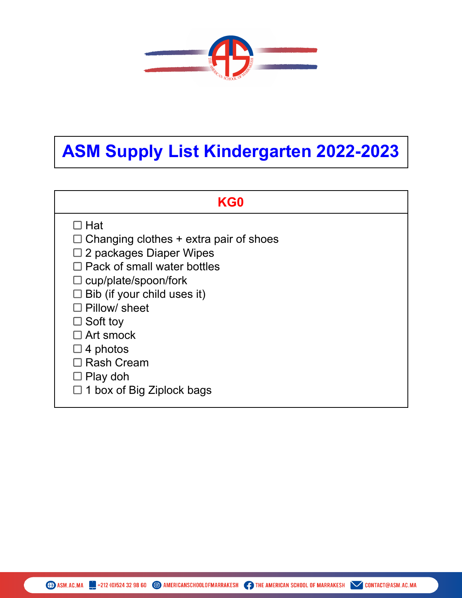

## **ASM Supply List Kindergarten 2022-2023**

## **KG0**

- $\Box$  Hat
- $\Box$  Changing clothes + extra pair of shoes
- $\square$  2 packages Diaper Wipes
- $\Box$  Pack of small water bottles
- $\square$  cup/plate/spoon/fork
- $\square$  Bib (if your child uses it)
- $\square$  Pillow/ sheet
- $\Box$  Soft toy
- □ Art smock
- $\square$  4 photos
- □ Rash Cream
- $\square$  Play doh
- $\Box$  1 box of Big Ziplock bags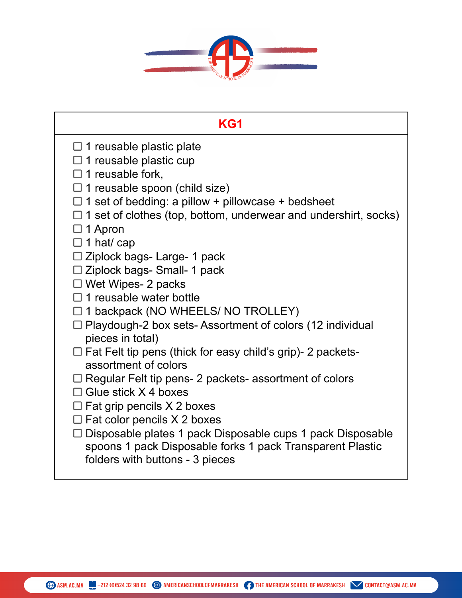

| KG1                                                                                                                                                                                                                                                                                                                                                                                           |
|-----------------------------------------------------------------------------------------------------------------------------------------------------------------------------------------------------------------------------------------------------------------------------------------------------------------------------------------------------------------------------------------------|
| $\Box$ 1 reusable plastic plate<br>$\Box$ 1 reusable plastic cup<br>$\Box$ 1 reusable fork,<br>$\Box$ 1 reusable spoon (child size)<br>$\Box$ 1 set of bedding: a pillow + pillowcase + bedsheet<br>$\Box$ 1 set of clothes (top, bottom, underwear and undershirt, socks)<br>$\Box$ 1 Apron<br>$\Box$ 1 hat/ cap<br>$\Box$ Ziplock bags- Large- 1 pack<br>$\Box$ Ziplock bags- Small- 1 pack |
| $\Box$ Wet Wipes- 2 packs                                                                                                                                                                                                                                                                                                                                                                     |
| $\Box$ 1 reusable water bottle                                                                                                                                                                                                                                                                                                                                                                |
| $\Box$ 1 backpack (NO WHEELS/ NO TROLLEY)<br>$\Box$ Playdough-2 box sets- Assortment of colors (12 individual<br>pieces in total)                                                                                                                                                                                                                                                             |
| $\Box$ Fat Felt tip pens (thick for easy child's grip)- 2 packets-<br>assortment of colors                                                                                                                                                                                                                                                                                                    |
| $\Box$ Regular Felt tip pens- 2 packets- assortment of colors<br>$\Box$ Glue stick X 4 boxes<br>$\Box$ Fat grip pencils X 2 boxes<br>$\Box$ Fat color pencils X 2 boxes<br>$\Box$ Disposable plates 1 pack Disposable cups 1 pack Disposable                                                                                                                                                  |
| spoons 1 pack Disposable forks 1 pack Transparent Plastic<br>folders with buttons - 3 pieces                                                                                                                                                                                                                                                                                                  |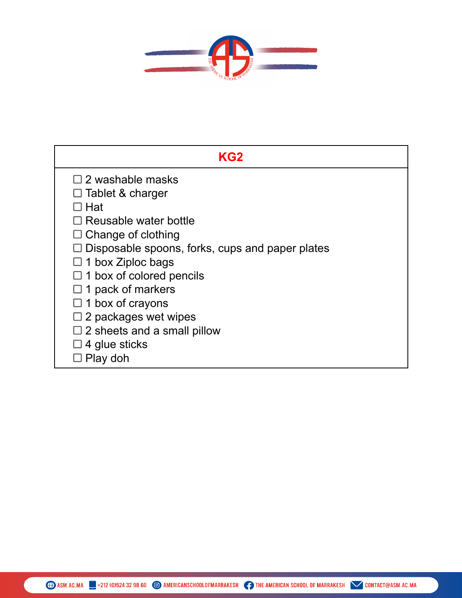

| KG2                                                                                                                                                                                                                                                                                                         |
|-------------------------------------------------------------------------------------------------------------------------------------------------------------------------------------------------------------------------------------------------------------------------------------------------------------|
| $\square$ 2 washable masks<br>$\Box$ Tablet & charger<br>□ Hat<br>$\Box$ Reusable water bottle<br>$\Box$ Change of clothing<br>$\Box$ Disposable spoons, forks, cups and paper plates<br>$\Box$ 1 box Ziploc bags<br>$\Box$ 1 box of colored pencils<br>$\Box$ 1 pack of markers<br>$\Box$ 1 box of crayons |
| $\Box$ 2 packages wet wipes<br>$\Box$ 2 sheets and a small pillow                                                                                                                                                                                                                                           |
| $\square$ 4 glue sticks<br>Play doh                                                                                                                                                                                                                                                                         |